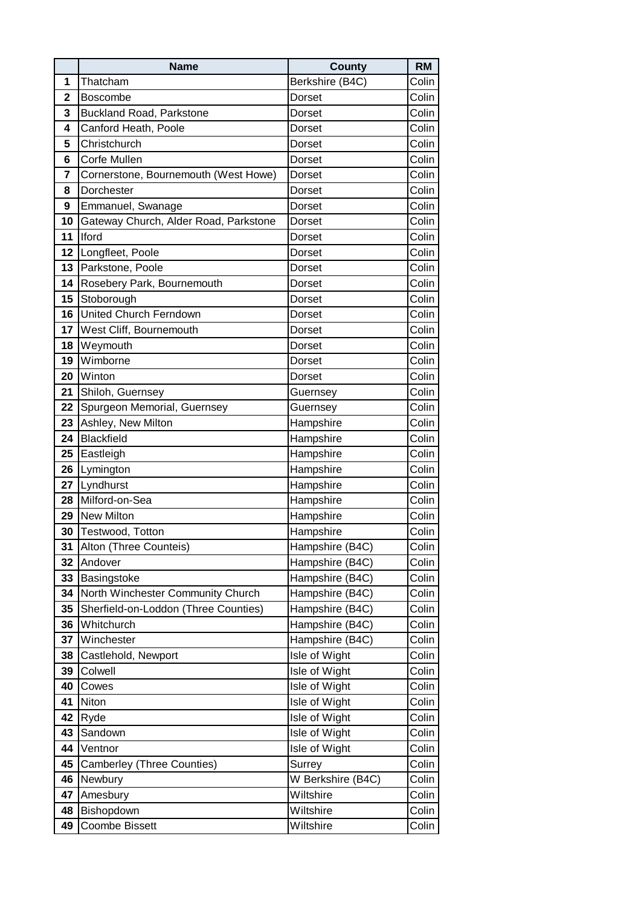|             | <b>Name</b>                           | County            | <b>RM</b> |
|-------------|---------------------------------------|-------------------|-----------|
| 1           | Thatcham                              | Berkshire (B4C)   | Colin     |
| $\mathbf 2$ | <b>Boscombe</b>                       | Dorset            | Colin     |
| 3           | Buckland Road, Parkstone              | Dorset            | Colin     |
| 4           | Canford Heath, Poole                  | Dorset            | Colin     |
| 5           | Christchurch                          | Dorset            | Colin     |
| 6           | <b>Corfe Mullen</b>                   | Dorset            | Colin     |
| 7           | Cornerstone, Bournemouth (West Howe)  | Dorset            | Colin     |
| 8           | Dorchester                            | Dorset            | Colin     |
| 9           | Emmanuel, Swanage                     | Dorset            | Colin     |
| 10          | Gateway Church, Alder Road, Parkstone | Dorset            | Colin     |
| 11          | Iford                                 | Dorset            | Colin     |
| 12          | Longfleet, Poole                      | Dorset            | Colin     |
| 13          | Parkstone, Poole                      | Dorset            | Colin     |
| 14          | Rosebery Park, Bournemouth            | Dorset            | Colin     |
| 15          | Stoborough                            | Dorset            | Colin     |
| 16          | United Church Ferndown                | Dorset            | Colin     |
| 17          | West Cliff, Bournemouth               | Dorset            | Colin     |
| 18          | Weymouth                              | Dorset            | Colin     |
| 19          | Wimborne                              | Dorset            | Colin     |
| 20          | Winton                                | Dorset            | Colin     |
| 21          | Shiloh, Guernsey                      | Guernsey          | Colin     |
| 22          | Spurgeon Memorial, Guernsey           | Guernsey          | Colin     |
| 23          | Ashley, New Milton                    | Hampshire         | Colin     |
| 24          | <b>Blackfield</b>                     | Hampshire         | Colin     |
| 25          | Eastleigh                             | Hampshire         | Colin     |
| 26          | Lymington                             | Hampshire         | Colin     |
| 27          | Lyndhurst                             | Hampshire         | Colin     |
| 28          | Milford-on-Sea                        | Hampshire         | Colin     |
| 29          | New Milton                            | Hampshire         | Colin     |
| 30          | Testwood, Totton                      | Hampshire         | Colin     |
| 31          | Alton (Three Counteis)                | Hampshire (B4C)   | Colin     |
| 32          | Andover                               | Hampshire (B4C)   | Colin     |
| 33          | Basingstoke                           | Hampshire (B4C)   | Colin     |
| 34          | North Winchester Community Church     | Hampshire (B4C)   | Colin     |
| 35          | Sherfield-on-Loddon (Three Counties)  | Hampshire (B4C)   | Colin     |
| 36          | Whitchurch                            | Hampshire (B4C)   | Colin     |
| 37          | Winchester                            | Hampshire (B4C)   | Colin     |
| 38          | Castlehold, Newport                   | Isle of Wight     | Colin     |
| 39          | Colwell                               | Isle of Wight     | Colin     |
| 40          | Cowes                                 | Isle of Wight     | Colin     |
| 41          | Niton                                 | Isle of Wight     | Colin     |
| 42          | Ryde                                  | Isle of Wight     | Colin     |
| 43          | Sandown                               | Isle of Wight     | Colin     |
| 44          | Ventnor                               | Isle of Wight     | Colin     |
| 45          | <b>Camberley (Three Counties)</b>     | Surrey            | Colin     |
| 46          | Newbury                               | W Berkshire (B4C) | Colin     |
| 47          | Amesbury                              | Wiltshire         | Colin     |
| 48          | Bishopdown                            | Wiltshire         | Colin     |
| 49          | <b>Coombe Bissett</b>                 | Wiltshire         | Colin     |